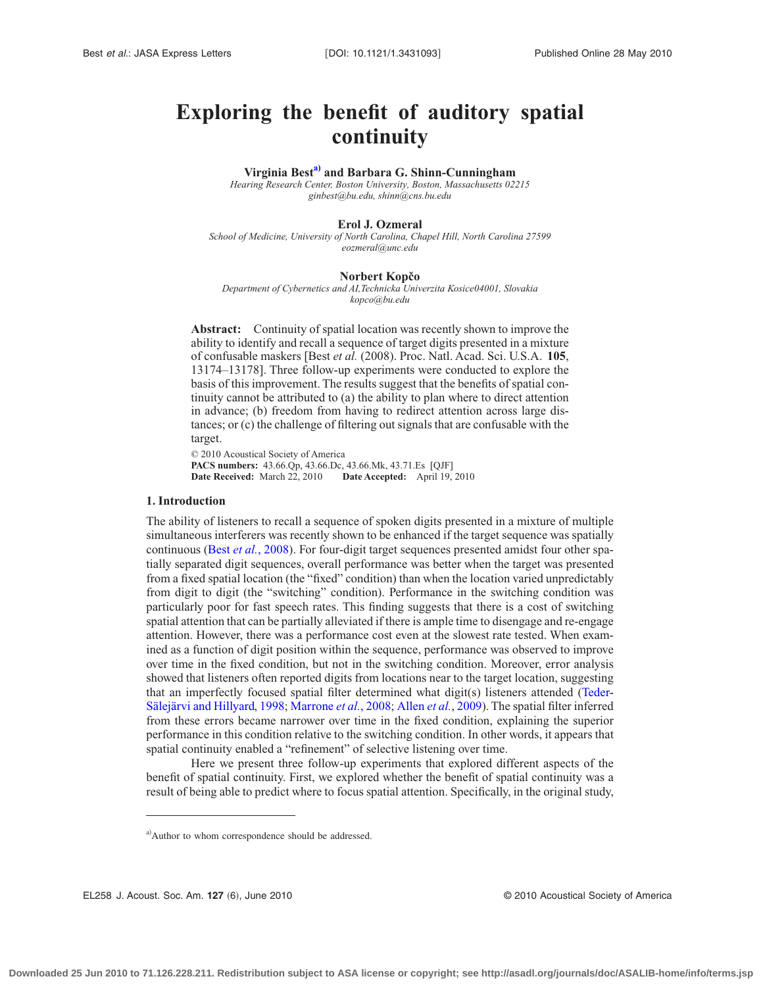# **Exploring the benefit of auditory spatial continuity**

**Virginia Bes[ta\)](#page-0-0) and Barbara G. Shinn-Cunningham**

*Hearing Research Center, Boston University, Boston, Massachusetts 02215 ginbest@bu.edu, shinn@cns.bu.edu*

## **Erol J. Ozmeral**

*School of Medicine, University of North Carolina, Chapel Hill, North Carolina 27599 eozmeral@unc.edu*

#### **Norbert Kopčo**

*Department of Cybernetics and AI,Technicka Univerzita Kosice04001, Slovakia kopco@bu.edu*

**Abstract:** Continuity of spatial location was recently shown to improve the ability to identify and recall a sequence of target digits presented in a mixture of confusable maskers [Best *et al.* (2008). Proc. Natl. Acad. Sci. U.S.A. **105**, 13174–13178]. Three follow-up experiments were conducted to explore the basis of this improvement. The results suggest that the benefits of spatial continuity cannot be attributed to (a) the ability to plan where to direct attention in advance; (b) freedom from having to redirect attention across large distances; or (c) the challenge of filtering out signals that are confusable with the target.

© 2010 Acoustical Society of America **PACS numbers:** 43.66.Qp, 43.66.Dc, 43.66.Mk, 43.71.Es [QJF] **Date Received:** March 22, 2010 **Date Accepted:** April 19, 2010

# **1. Introduction**

The ability of listeners to recall a sequence of spoken digits presented in a mixture of multiple simultaneous interferers was recently shown to be enhanced if the target sequence was spatially continuous (Best *et al.*[, 2008\)](#page-6-0). For four-digit target sequences presented amidst four other spatially separated digit sequences, overall performance was better when the target was presented from a fixed spatial location (the "fixed" condition) than when the location varied unpredictably from digit to digit (the "switching" condition). Performance in the switching condition was particularly poor for fast speech rates. This finding suggests that there is a cost of switching spatial attention that can be partially alleviated if there is ample time to disengage and re-engage attention. However, there was a performance cost even at the slowest rate tested. When examined as a function of digit position within the sequence, performance was observed to improve over time in the fixed condition, but not in the switching condition. Moreover, error analysis showed that listeners often reported digits from locations near to the target location, suggesting that an imperfectly focused spatial filter determined what digit(s) listeners attended [\(Teder-](#page-6-1)[Sälejärvi and Hillyard, 1998;](#page-6-1) [Marrone](#page-6-2) *et al.*, 2008; Allen *et al.*[, 2009\)](#page-6-3). The spatial filter inferred from these errors became narrower over time in the fixed condition, explaining the superior performance in this condition relative to the switching condition. In other words, it appears that spatial continuity enabled a "refinement" of selective listening over time.

Here we present three follow-up experiments that explored different aspects of the benefit of spatial continuity. First, we explored whether the benefit of spatial continuity was a result of being able to predict where to focus spatial attention. Specifically, in the original study,

EL258 J. Acoust. Soc. Am. **127** 6, June 2010 © 2010 Acoustical Society of America

<span id="page-0-0"></span>a)Author to whom correspondence should be addressed.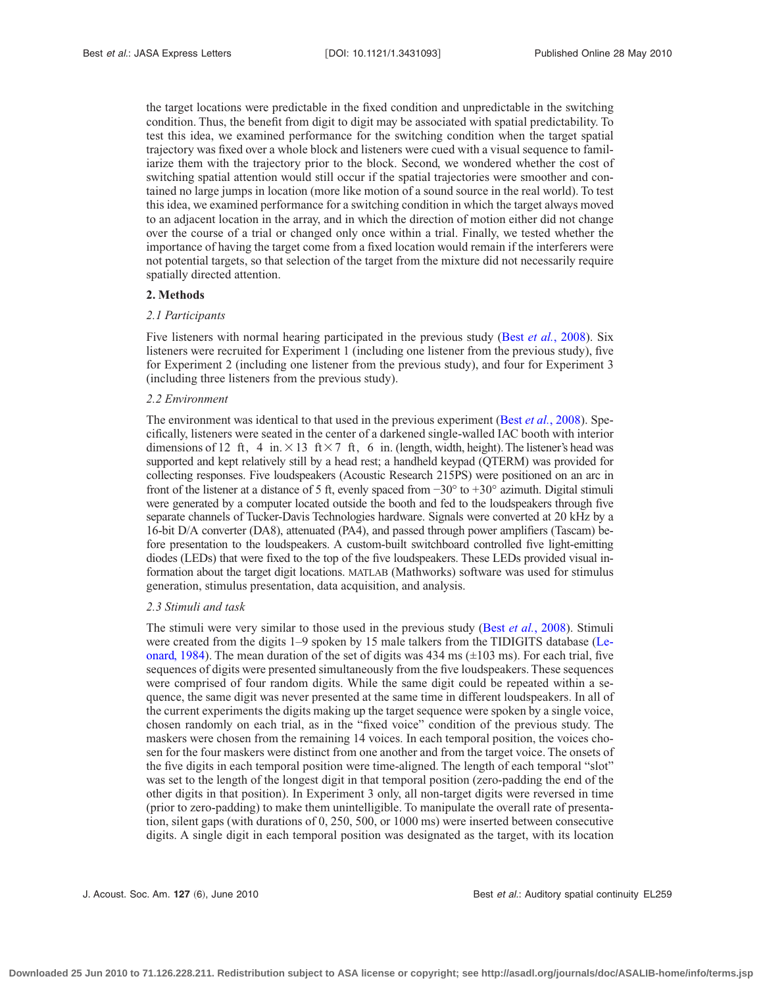the target locations were predictable in the fixed condition and unpredictable in the switching condition. Thus, the benefit from digit to digit may be associated with spatial predictability. To test this idea, we examined performance for the switching condition when the target spatial trajectory was fixed over a whole block and listeners were cued with a visual sequence to familiarize them with the trajectory prior to the block. Second, we wondered whether the cost of switching spatial attention would still occur if the spatial trajectories were smoother and contained no large jumps in location (more like motion of a sound source in the real world). To test this idea, we examined performance for a switching condition in which the target always moved to an adjacent location in the array, and in which the direction of motion either did not change over the course of a trial or changed only once within a trial. Finally, we tested whether the importance of having the target come from a fixed location would remain if the interferers were not potential targets, so that selection of the target from the mixture did not necessarily require spatially directed attention.

#### **2. Methods**

#### *2.1 Participants*

Five listeners with normal hearing participated in the previous study (Best *et al.*[, 2008\)](#page-6-0). Six listeners were recruited for Experiment 1 (including one listener from the previous study), five for Experiment 2 (including one listener from the previous study), and four for Experiment 3 (including three listeners from the previous study).

#### *2.2 Environment*

The environment was identical to that used in the previous experiment (Best *et al.*[, 2008\)](#page-6-0). Specifically, listeners were seated in the center of a darkened single-walled IAC booth with interior dimensions of 12 ft, 4 in. $\times$ 13 ft $\times$ 7 ft, 6 in. (length, width, height). The listener's head was supported and kept relatively still by a head rest; a handheld keypad (QTERM) was provided for collecting responses. Five loudspeakers (Acoustic Research 215PS) were positioned on an arc in front of the listener at a distance of 5 ft, evenly spaced from  $-30^{\circ}$  to  $+30^{\circ}$  azimuth. Digital stimuli were generated by a computer located outside the booth and fed to the loudspeakers through five separate channels of Tucker-Davis Technologies hardware. Signals were converted at 20 kHz by a 16-bit D/A converter (DA8), attenuated (PA4), and passed through power amplifiers (Tascam) before presentation to the loudspeakers. A custom-built switchboard controlled five light-emitting diodes (LEDs) that were fixed to the top of the five loudspeakers. These LEDs provided visual information about the target digit locations. MATLAB (Mathworks) software was used for stimulus generation, stimulus presentation, data acquisition, and analysis.

#### *2.3 Stimuli and task*

The stimuli were very similar to those used in the previous study (Best *et al.*[, 2008\)](#page-6-0). Stimuli were created from the digits 1–9 spoken by 15 male talkers from the TIDIGITS database [\(Le](#page-6-4)[onard, 1984\)](#page-6-4). The mean duration of the set of digits was  $434 \text{ ms } (\pm 103 \text{ ms})$ . For each trial, five sequences of digits were presented simultaneously from the five loudspeakers. These sequences were comprised of four random digits. While the same digit could be repeated within a sequence, the same digit was never presented at the same time in different loudspeakers. In all of the current experiments the digits making up the target sequence were spoken by a single voice, chosen randomly on each trial, as in the "fixed voice" condition of the previous study. The maskers were chosen from the remaining 14 voices. In each temporal position, the voices chosen for the four maskers were distinct from one another and from the target voice. The onsets of the five digits in each temporal position were time-aligned. The length of each temporal "slot" was set to the length of the longest digit in that temporal position (zero-padding the end of the other digits in that position). In Experiment 3 only, all non-target digits were reversed in time (prior to zero-padding) to make them unintelligible. To manipulate the overall rate of presentation, silent gaps (with durations of 0, 250, 500, or 1000 ms) were inserted between consecutive digits. A single digit in each temporal position was designated as the target, with its location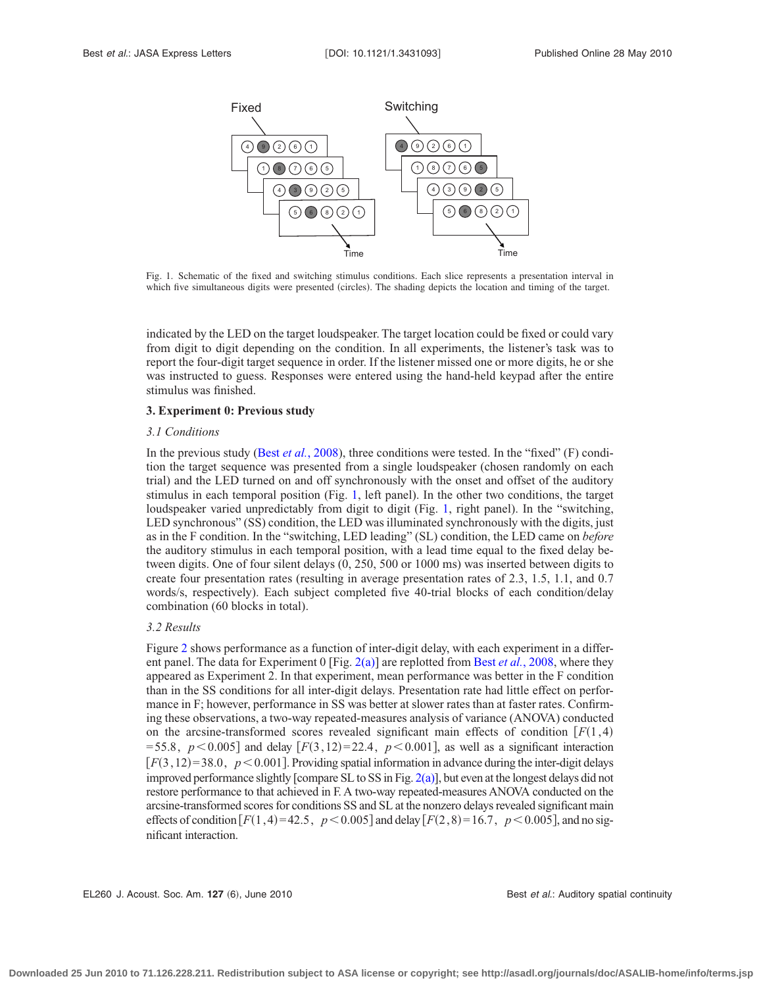<span id="page-2-0"></span>

Fig. 1. Schematic of the fixed and switching stimulus conditions. Each slice represents a presentation interval in which five simultaneous digits were presented (circles). The shading depicts the location and timing of the target.

indicated by the LED on the target loudspeaker. The target location could be fixed or could vary from digit to digit depending on the condition. In all experiments, the listener's task was to report the four-digit target sequence in order. If the listener missed one or more digits, he or she was instructed to guess. Responses were entered using the hand-held keypad after the entire stimulus was finished.

## **3. Experiment 0: Previous study**

#### *3.1 Conditions*

In the previous study (Best *et al.*[, 2008\)](#page-6-0), three conditions were tested. In the "fixed" (F) condition the target sequence was presented from a single loudspeaker (chosen randomly on each trial) and the LED turned on and off synchronously with the onset and offset of the auditory stimulus in each temporal position (Fig. [1,](#page-2-0) left panel). In the other two conditions, the target loudspeaker varied unpredictably from digit to digit (Fig. [1,](#page-2-0) right panel). In the "switching, LED synchronous" (SS) condition, the LED was illuminated synchronously with the digits, just as in the F condition. In the "switching, LED leading" (SL) condition, the LED came on *before* the auditory stimulus in each temporal position, with a lead time equal to the fixed delay between digits. One of four silent delays (0, 250, 500 or 1000 ms) was inserted between digits to create four presentation rates (resulting in average presentation rates of 2.3, 1.5, 1.1, and 0.7 words/s, respectively). Each subject completed five 40-trial blocks of each condition/delay combination (60 blocks in total).

#### *3.2 Results*

Figure [2](#page-3-0) shows performance as a function of inter-digit delay, with each experiment in a different panel. The data for Experiment 0 [Fig. [2\(a\)\]](#page-3-0) are replotted from Best *et al.*[, 2008,](#page-6-0) where they appeared as Experiment 2. In that experiment, mean performance was better in the F condition than in the SS conditions for all inter-digit delays. Presentation rate had little effect on performance in F; however, performance in SS was better at slower rates than at faster rates. Confirming these observations, a two-way repeated-measures analysis of variance (ANOVA) conducted on the arcsine-transformed scores revealed significant main effects of condition  $[F(1,4)]$  $= 55.8, p < 0.005$  and delay  $[F(3, 12)=22.4, p < 0.001]$ , as well as a significant interaction  $[F(3, 12)=38.0, p<0.001]$ . Providing spatial information in advance during the inter-digit delays improved performance slightly [compare SL to SS in Fig.  $2(a)$ ], but even at the longest delays did not restore performance to that achieved in F. A two-way repeated-measures ANOVA conducted on the arcsine-transformed scores for conditions SS and SL at the nonzero delays revealed significant main effects of condition  $[F(1,4)=42.5, p<0.005]$  and delay  $[F(2,8)=16.7, p<0.005]$ , and no significant interaction.

EL260 J. Acoust. Soc. Am. 127 (6), June 2010 **Best** *et al.***: Auditory spatial continuity** Best *et al.*: Auditory spatial continuity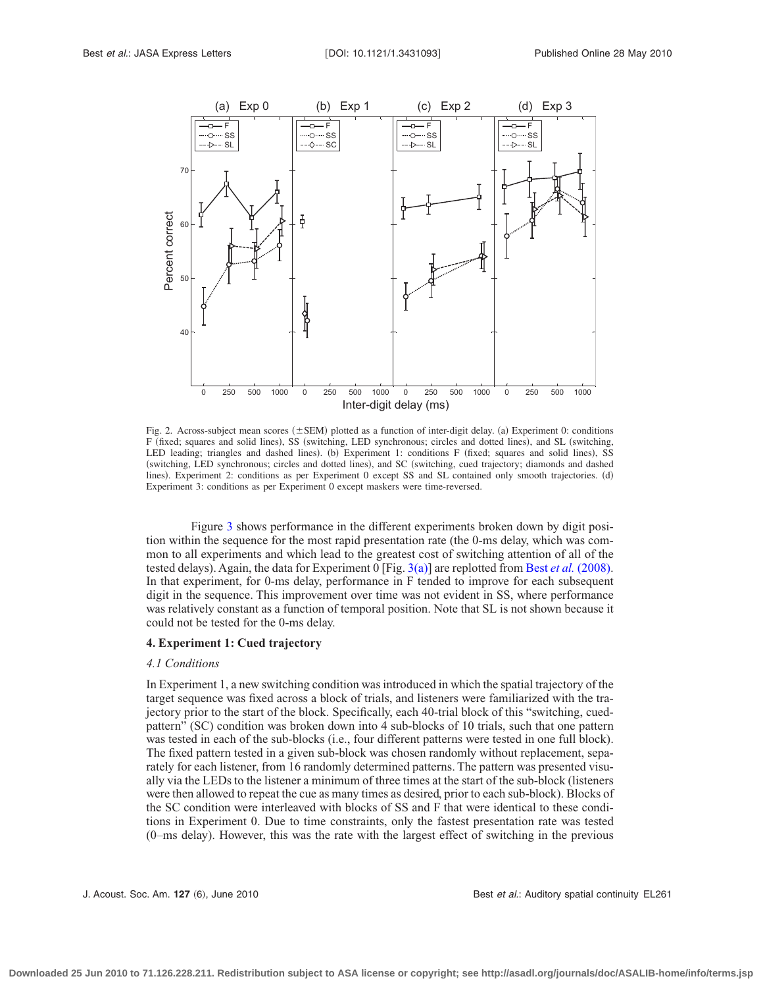<span id="page-3-0"></span>

Fig. 2. Across-subject mean scores  $(\pm$  SEM) plotted as a function of inter-digit delay. (a) Experiment 0: conditions F (fixed; squares and solid lines), SS (switching, LED synchronous; circles and dotted lines), and SL (switching, LED leading; triangles and dashed lines). (b) Experiment 1: conditions F (fixed; squares and solid lines), SS (switching, LED synchronous; circles and dotted lines), and SC (switching, cued trajectory; diamonds and dashed lines). Experiment 2: conditions as per Experiment 0 except SS and SL contained only smooth trajectories. (d) Experiment 3: conditions as per Experiment 0 except maskers were time-reversed.

Figure [3](#page-4-0) shows performance in the different experiments broken down by digit position within the sequence for the most rapid presentation rate (the 0-ms delay, which was common to all experiments and which lead to the greatest cost of switching attention of all of the tested delays). Again, the data for Experiment 0 [Fig. [3\(a\)\]](#page-4-0) are replotted from Best *et al.* [\(2008\).](#page-6-0) In that experiment, for 0-ms delay, performance in F tended to improve for each subsequent digit in the sequence. This improvement over time was not evident in SS, where performance was relatively constant as a function of temporal position. Note that SL is not shown because it could not be tested for the 0-ms delay.

# **4. Experiment 1: Cued trajectory**

## *4.1 Conditions*

In Experiment 1, a new switching condition was introduced in which the spatial trajectory of the target sequence was fixed across a block of trials, and listeners were familiarized with the trajectory prior to the start of the block. Specifically, each 40-trial block of this "switching, cuedpattern" (SC) condition was broken down into 4 sub-blocks of 10 trials, such that one pattern was tested in each of the sub-blocks (i.e., four different patterns were tested in one full block). The fixed pattern tested in a given sub-block was chosen randomly without replacement, separately for each listener, from 16 randomly determined patterns. The pattern was presented visually via the LEDs to the listener a minimum of three times at the start of the sub-block (listeners were then allowed to repeat the cue as many times as desired, prior to each sub-block). Blocks of the SC condition were interleaved with blocks of SS and F that were identical to these conditions in Experiment 0. Due to time constraints, only the fastest presentation rate was tested (0–ms delay). However, this was the rate with the largest effect of switching in the previous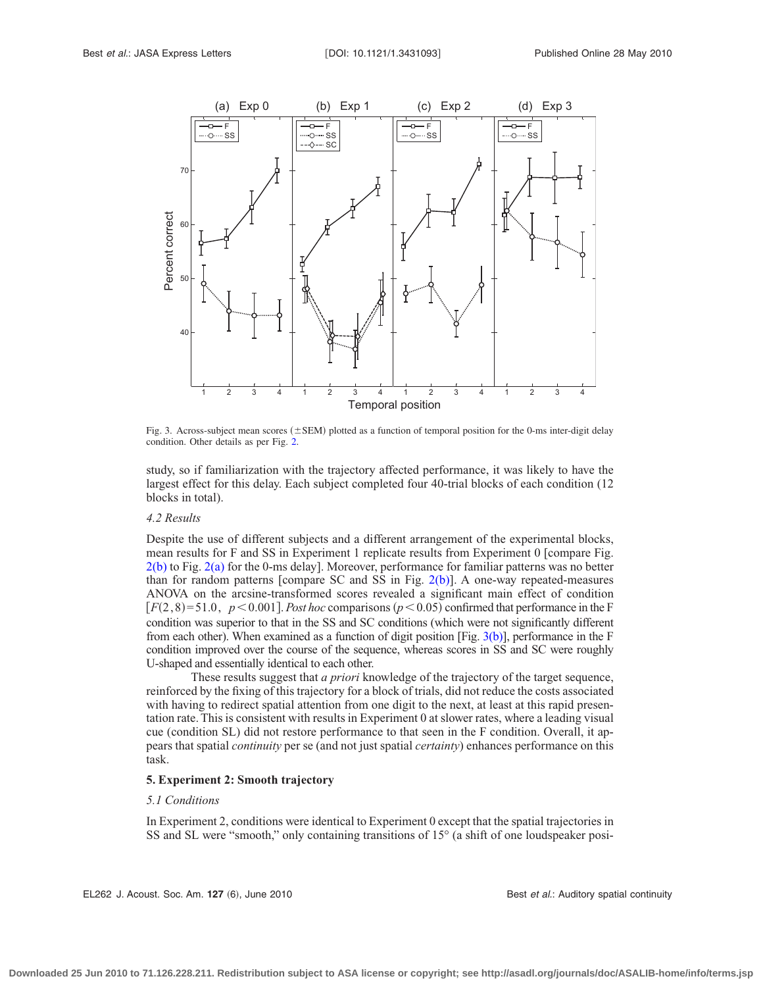<span id="page-4-0"></span>

Fig. 3. Across-subject mean scores  $(\pm$ SEM) plotted as a function of temporal position for the 0-ms inter-digit delay condition. Other details as per Fig. [2.](#page-3-0)

study, so if familiarization with the trajectory affected performance, it was likely to have the largest effect for this delay. Each subject completed four 40-trial blocks of each condition (12 blocks in total).

#### *4.2 Results*

Despite the use of different subjects and a different arrangement of the experimental blocks, mean results for F and SS in Experiment 1 replicate results from Experiment 0 [compare Fig. [2\(b\)](#page-3-0) to Fig. [2\(a\)](#page-3-0) for the 0-ms delay]. Moreover, performance for familiar patterns was no better than for random patterns [compare SC and SS in Fig.  $2(b)$ ]. A one-way repeated-measures ANOVA on the arcsine-transformed scores revealed a significant main effect of condition  $[F(2,8)=51.0, p<0.001]$ . *Post hoc* comparisons ( $p<0.05$ ) confirmed that performance in the F condition was superior to that in the SS and SC conditions (which were not significantly different from each other). When examined as a function of digit position [Fig.  $3(b)$ ], performance in the F condition improved over the course of the sequence, whereas scores in SS and SC were roughly U-shaped and essentially identical to each other.

These results suggest that *a priori* knowledge of the trajectory of the target sequence, reinforced by the fixing of this trajectory for a block of trials, did not reduce the costs associated with having to redirect spatial attention from one digit to the next, at least at this rapid presentation rate. This is consistent with results in Experiment 0 at slower rates, where a leading visual cue (condition SL) did not restore performance to that seen in the F condition. Overall, it appears that spatial *continuity* per se (and not just spatial *certainty*) enhances performance on this task.

# **5. Experiment 2: Smooth trajectory**

#### *5.1 Conditions*

In Experiment 2, conditions were identical to Experiment 0 except that the spatial trajectories in SS and SL were "smooth," only containing transitions of 15° (a shift of one loudspeaker posi-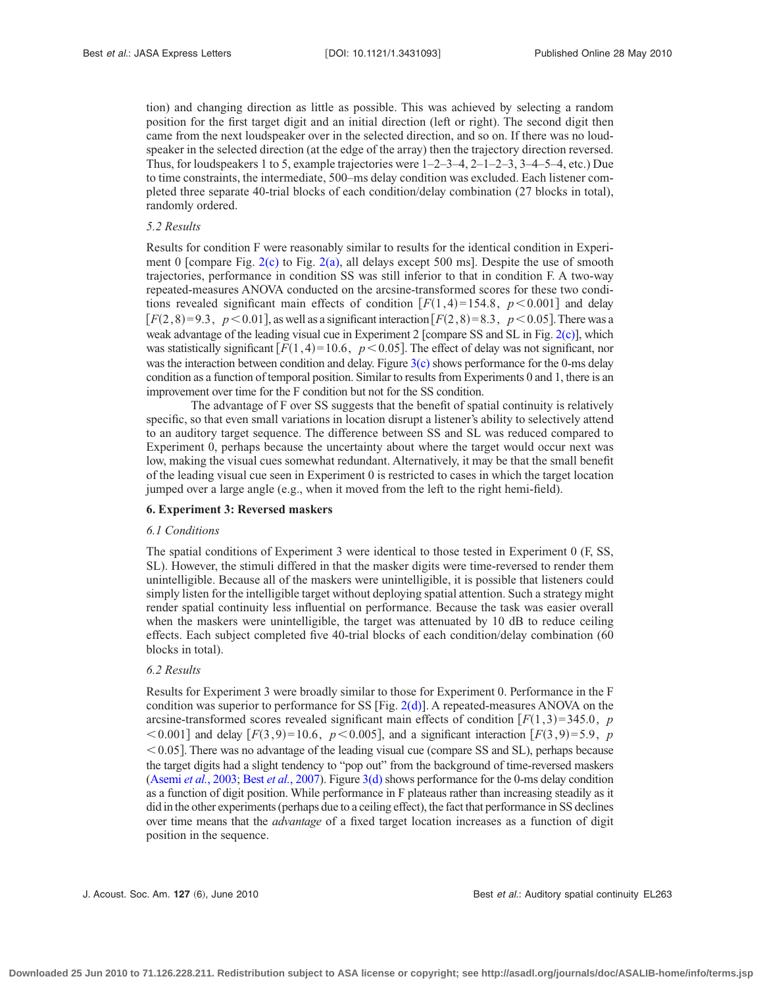tion) and changing direction as little as possible. This was achieved by selecting a random position for the first target digit and an initial direction (left or right). The second digit then came from the next loudspeaker over in the selected direction, and so on. If there was no loudspeaker in the selected direction (at the edge of the array) then the trajectory direction reversed. Thus, for loudspeakers 1 to 5, example trajectories were 1–2–3–4, 2–1–2–3, 3–4–5–4, etc.) Due to time constraints, the intermediate, 500–ms delay condition was excluded. Each listener completed three separate 40-trial blocks of each condition/delay combination (27 blocks in total), randomly ordered.

#### *5.2 Results*

Results for condition F were reasonably similar to results for the identical condition in Experiment 0 [compare Fig. [2\(c\)](#page-3-0) to Fig. [2\(a\),](#page-3-0) all delays except 500 ms]. Despite the use of smooth trajectories, performance in condition SS was still inferior to that in condition F. A two-way repeated-measures ANOVA conducted on the arcsine-transformed scores for these two conditions revealed significant main effects of condition  $[F(1,4)=154.8, p<0.001]$  and delay  $[F(2,8)=9.3, p<0.01]$ , as well as a significant interaction  $[F(2,8)=8.3, p<0.05]$ . There was a weak advantage of the leading visual cue in Experiment 2 [compare SS and SL in Fig. [2\(c\)\]](#page-3-0), which was statistically significant  $[F(1,4)=10.6, p<0.05]$ . The effect of delay was not significant, nor was the interaction between condition and delay. Figure  $3(c)$  shows performance for the 0-ms delay condition as a function of temporal position. Similar to results from Experiments 0 and 1, there is an improvement over time for the F condition but not for the SS condition.

The advantage of F over SS suggests that the benefit of spatial continuity is relatively specific, so that even small variations in location disrupt a listener's ability to selectively attend to an auditory target sequence. The difference between SS and SL was reduced compared to Experiment 0, perhaps because the uncertainty about where the target would occur next was low, making the visual cues somewhat redundant. Alternatively, it may be that the small benefit of the leading visual cue seen in Experiment 0 is restricted to cases in which the target location jumped over a large angle (e.g., when it moved from the left to the right hemi-field).

## **6. Experiment 3: Reversed maskers**

## *6.1 Conditions*

The spatial conditions of Experiment 3 were identical to those tested in Experiment 0 (F, SS, SL). However, the stimuli differed in that the masker digits were time-reversed to render them unintelligible. Because all of the maskers were unintelligible, it is possible that listeners could simply listen for the intelligible target without deploying spatial attention. Such a strategy might render spatial continuity less influential on performance. Because the task was easier overall when the maskers were unintelligible, the target was attenuated by 10 dB to reduce ceiling effects. Each subject completed five 40-trial blocks of each condition/delay combination (60 blocks in total).

#### *6.2 Results*

Results for Experiment 3 were broadly similar to those for Experiment 0. Performance in the F condition was superior to performance for SS [Fig.  $2(d)$ ]. A repeated-measures ANOVA on the arcsine-transformed scores revealed significant main effects of condition  $[F(1,3)=345.0, p$  $\leq$  0.001] and delay  $[F(3, 9) = 10.6, p \leq 0.005]$ , and a significant interaction  $[F(3, 9) = 5.9, p$ -0.05. There was no advantage of the leading visual cue (compare SS and SL), perhaps because the target digits had a slight tendency to "pop out" from the background of time-reversed maskers [\(Asemi](#page-6-5) *et al.*, 2003; Best *et al.*[, 2007\)](#page-6-6). Figure [3\(d\)](#page-4-0) shows performance for the 0-ms delay condition as a function of digit position. While performance in F plateaus rather than increasing steadily as it did in the other experiments (perhaps due to a ceiling effect), the fact that performance in SS declines over time means that the *advantage* of a fixed target location increases as a function of digit position in the sequence.

J. Acoust. Soc. Am. **127** (6), June 2010 **Best** *et al.***: Auditory spatial continuity EL263**